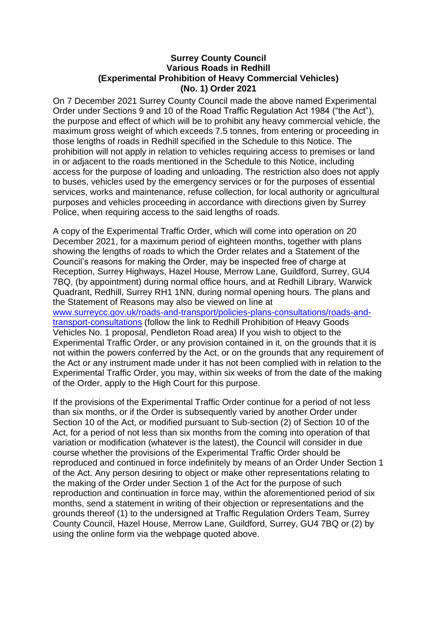## **Surrey County Council Various Roads in Redhill (Experimental Prohibition of Heavy Commercial Vehicles) (No. 1) Order 2021**

On 7 December 2021 Surrey County Council made the above named Experimental Order under Sections 9 and 10 of the Road Traffic Regulation Act 1984 ("the Act"), the purpose and effect of which will be to prohibit any heavy commercial vehicle, the maximum gross weight of which exceeds 7.5 tonnes, from entering or proceeding in those lengths of roads in Redhill specified in the Schedule to this Notice. The prohibition will not apply in relation to vehicles requiring access to premises or land in or adjacent to the roads mentioned in the Schedule to this Notice, including access for the purpose of loading and unloading. The restriction also does not apply to buses, vehicles used by the emergency services or for the purposes of essential services, works and maintenance, refuse collection, for local authority or agricultural purposes and vehicles proceeding in accordance with directions given by Surrey Police, when requiring access to the said lengths of roads.

A copy of the Experimental Traffic Order, which will come into operation on 20 December 2021, for a maximum period of eighteen months, together with plans showing the lengths of roads to which the Order relates and a Statement of the Council's reasons for making the Order, may be inspected free of charge at Reception, Surrey Highways, Hazel House, Merrow Lane, Guildford, Surrey, GU4 7BQ, (by appointment) during normal office hours, and at Redhill Library, Warwick Quadrant, Redhill, Surrey RH1 1NN, during normal opening hours. The plans and the Statement of Reasons may also be viewed on line at [www.surreycc.gov.uk/roads-and-transport/policies-plans-consultations/roads-and](http://www.surreycc.gov.uk/roads-and-transport/policies-plans-consultations/roads-and-transport-consultations)[transport-consultations](http://www.surreycc.gov.uk/roads-and-transport/policies-plans-consultations/roads-and-transport-consultations) (follow the link to Redhill Prohibition of Heavy Goods Vehicles No. 1 proposal, Pendleton Road area) If you wish to object to the Experimental Traffic Order, or any provision contained in it, on the grounds that it is not within the powers conferred by the Act, or on the grounds that any requirement of the Act or any instrument made under it has not been complied with in relation to the Experimental Traffic Order, you may, within six weeks of from the date of the making of the Order, apply to the High Court for this purpose.

If the provisions of the Experimental Traffic Order continue for a period of not less than six months, or if the Order is subsequently varied by another Order under Section 10 of the Act, or modified pursuant to Sub-section (2) of Section 10 of the Act, for a period of not less than six months from the coming into operation of that variation or modification (whatever is the latest), the Council will consider in due course whether the provisions of the Experimental Traffic Order should be reproduced and continued in force indefinitely by means of an Order Under Section 1 of the Act. Any person desiring to object or make other representations relating to the making of the Order under Section 1 of the Act for the purpose of such reproduction and continuation in force may, within the aforementioned period of six months, send a statement in writing of their objection or representations and the grounds thereof (1) to the undersigned at Traffic Regulation Orders Team, Surrey County Council, Hazel House, Merrow Lane, Guildford, Surrey, GU4 7BQ or (2) by using the online form via the webpage quoted above.